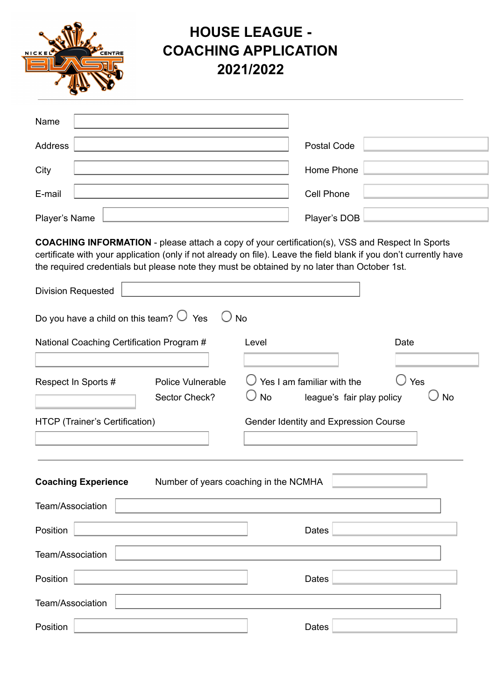

## **HOUSE LEAGUE - COACHING APPLICATION 2021/2022**

| Name          |              |
|---------------|--------------|
| Address       | Postal Code  |
| City          | Home Phone   |
| E-mail        | Cell Phone   |
| Player's Name | Player's DOB |

**COACHING INFORMATION** - please attach a copy of your certification(s), VSS and Respect In Sports certificate with your application (only if not already on file). Leave the field blank if you don't currently have the required credentials but please note they must be obtained by no later than October 1st.

| <b>Division Requested</b>                                     |                                           |                                                                                |                  |
|---------------------------------------------------------------|-------------------------------------------|--------------------------------------------------------------------------------|------------------|
| Do you have a child on this team? $\bigcup$ Yes $\bigcirc$ No |                                           |                                                                                |                  |
| National Coaching Certification Program #                     |                                           | Level                                                                          | Date             |
| Respect In Sports #                                           | <b>Police Vulnerable</b><br>Sector Check? | $\bigcup$ Yes I am familiar with the<br>$\cup$ No<br>league's fair play policy | Yes<br><b>No</b> |
| HTCP (Trainer's Certification)                                |                                           | Gender Identity and Expression Course                                          |                  |
| <b>Coaching Experience</b>                                    |                                           | Number of years coaching in the NCMHA                                          |                  |
| Team/Association                                              |                                           |                                                                                |                  |
| Position                                                      |                                           | Dates                                                                          |                  |
| Team/Association                                              |                                           |                                                                                |                  |
| Position                                                      |                                           | Dates                                                                          |                  |
| Team/Association                                              |                                           |                                                                                |                  |
| Position                                                      |                                           | <b>Dates</b>                                                                   |                  |